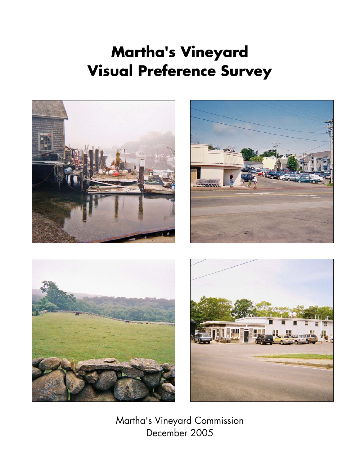# **Martha's Vineyard Visual Preference Survey**









Martha's Vineyard Commission December 2005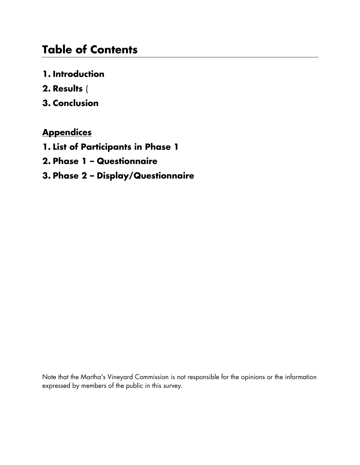### **Table of Contents**

- **1. Introduction**
- **2. Results** (
- **3. Conclusion**

### **Appendices**

- **1. List of Participants in Phase 1**
- **2. Phase 1 Questionnaire**
- **3. Phase 2 Display/Questionnaire**

Note that the Martha's Vineyard Commission is not responsible for the opinions or the information expressed by members of the public in this survey.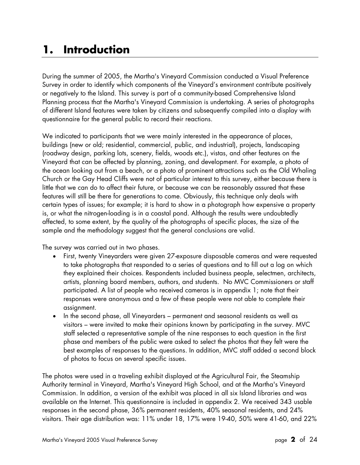## **1. Introduction**

During the summer of 2005, the Martha's Vineyard Commission conducted a Visual Preference Survey in order to identify which components of the Vineyard's environment contribute positively or negatively to the Island. This survey is part of a community-based Comprehensive Island Planning process that the Martha's Vineyard Commission is undertaking. A series of photographs of different Island features were taken by citizens and subsequently compiled into a display with questionnaire for the general public to record their reactions.

We indicated to participants that we were mainly interested in the appearance of places, buildings (new or old; residential, commercial, public, and industrial), projects, landscaping (roadway design, parking lots, scenery, fields, woods etc.), vistas, and other features on the Vineyard that can be affected by planning, zoning, and development. For example, a photo of the ocean looking out from a beach, or a photo of prominent attractions such as the Old Whaling Church or the Gay Head Cliffs were not of particular interest to this survey, either because there is little that we can do to affect their future, or because we can be reasonably assured that these features will still be there for generations to come. Obviously, this technique only deals with certain types of issues; for example; it is hard to show in a photograph how expensive a property is, or what the nitrogen-loading is in a coastal pond. Although the results were undoubtedly affected, to some extent, by the quality of the photographs of specific places, the size of the sample and the methodology suggest that the general conclusions are valid.

The survey was carried out in two phases.

- First, twenty Vineyarders were given 27-exposure disposable cameras and were requested to take photographs that responded to a series of questions and to fill out a log on which they explained their choices. Respondents included business people, selectmen, architects, artists, planning board members, authors, and students. No MVC Commissioners or staff participated. A list of people who received cameras is in appendix 1; note that their responses were anonymous and a few of these people were not able to complete their assignment.
- In the second phase, all Vineyarders permanent and seasonal residents as well as visitors – were invited to make their opinions known by participating in the survey. MVC staff selected a representative sample of the nine responses to each question in the first phase and members of the public were asked to select the photos that they felt were the best examples of responses to the questions. In addition, MVC staff added a second block of photos to focus on several specific issues.

The photos were used in a traveling exhibit displayed at the Agricultural Fair, the Steamship Authority terminal in Vineyard, Martha's Vineyard High School, and at the Martha's Vineyard Commission. In addition, a version of the exhibit was placed in all six Island libraries and was available on the Internet. This questionnaire is included in appendix 2. We received 343 usable responses in the second phase, 36% permanent residents, 40% seasonal residents, and 24% visitors. Their age distribution was: 11% under 18, 17% were 19-40, 50% were 41-60, and 22%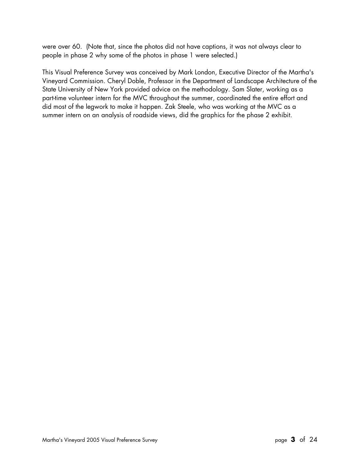were over 60. (Note that, since the photos did not have captions, it was not always clear to people in phase 2 why some of the photos in phase 1 were selected.)

This Visual Preference Survey was conceived by Mark London, Executive Director of the Martha's Vineyard Commission. Cheryl Doble, Professor in the Department of Landscape Architecture of the State University of New York provided advice on the methodology. Sam Slater, working as a part-time volunteer intern for the MVC throughout the summer, coordinated the entire effort and did most of the legwork to make it happen. Zak Steele, who was working at the MVC as a summer intern on an analysis of roadside views, did the graphics for the phase 2 exhibit.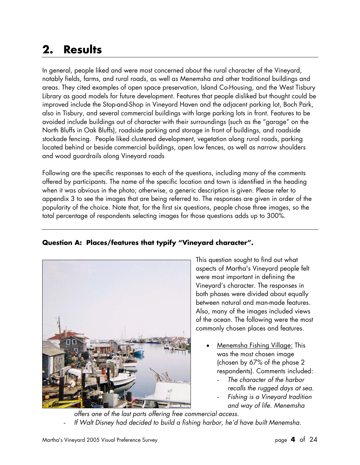## **2. Results**

In general, people liked and were most concerned about the rural character of the Vineyard, notably fields, farms, and rural roads, as well as Menemsha and other traditional buildings and areas. They cited examples of open space preservation, Island Co-Housing, and the West Tisbury Library as good models for future development. Features that people disliked but thought could be improved include the Stop-and-Shop in Vineyard Haven and the adjacent parking lot, Boch Park, also in Tisbury, and several commercial buildings with large parking lots in front. Features to be avoided include buildings out of character with their surroundings (such as the "garage" on the North Bluffs in Oak Bluffs), roadside parking and storage in front of buildings, and roadside stockade fencing. People liked clustered development, vegetation along rural roads, parking located behind or beside commercial buildings, open low fences, as well as narrow shoulders and wood guardrails along Vineyard roads

Following are the specific responses to each of the questions, including many of the comments offered by participants. The name of the specific location and town is identified in the heading when it was obvious in the photo; otherwise, a generic description is given. Please refer to appendix 3 to see the images that are being referred to. The responses are given in order of the popularity of the choice. Note that, for the first six questions, people chose three images, so the total percentage of respondents selecting images for those questions adds up to 300%.

#### **Question A: Places/features that typify "Vineyard character".**



This question sought to find out what aspects of Martha's Vineyard people felt were most important in defining the Vineyard's character. The responses in both phases were divided about equally between natural and man-made features. Also, many of the images included views of the ocean. The following were the most commonly chosen places and features.

- Menemsha Fishing Village: This was the most chosen image (chosen by 67% of the phase 2 respondents). Comments included:
	- *The character of the harbor recalls the rugged days at sea.*
	- *Fishing is a Vineyard tradition and way of life. Menemsha*

*offers one of the last ports offering free commercial access.*  If Walt Disney had decided to build a fishing harbor, he'd have built Menemsha.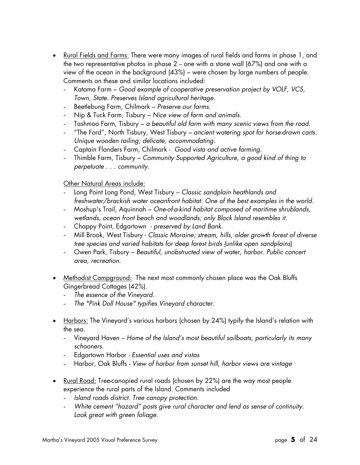- Rural Fields and Farms: There were many images of rural fields and farms in phase 1, and the two representative photos in phase  $2$  – one with a stone wall (67%) and one with a view of the ocean in the background (43%) – were chosen by large numbers of people. Comments on these and similar locations included:
	- Katama Farm *Good example of cooperative preservation project by VOLF, VCS, Town, State. Preserves Island agricultural heritage.*
	- Beetlebung Farm, Chilmark *Preserve our farms.*
	- Nip & Tuck Farm, Tisbury *Nice view of farm and animals.*
	- Tashmoo Farm, Tisbury *a beautiful old farm with many scenic views from the road.*
	- "The Ford", North Tisbury, West Tisbury *– ancient watering spot for horse-drawn carts. Unique wooden railing; delicate, accommodating.*
	- Captain Flanders Farm, Chilmark *Good vista and active farming*.
	- Thimble Farm, Tisbury *Community Supported Agriculture, a good kind of thing to perpetuate . . . community.*

#### Other Natural Areas include:

- Long Point Long Pond, West Tisbury *Classic sandplain heathlands and freshwater/brackish water oceanfront habitat. One of the best examples in the world.*
- Moshup's Trail, Aquinnah *One-of-a-kind habitat composed of maritime shrublands, wetlands, ocean front beach and woodlands; only Block Island resembles it.*
- Chappy Point, Edgartown  *preserved by Land Bank*.
- Mill Brook, West Tisbury *Classic Moraine; stream, hills, older growth forest of diverse tree species and varied habitats for deep forest birds (unlike open sandplains*)
- Owen Park, Tisbury *Beautiful, unobstructed view of water, harbor. Public concert area, recreation.*
- Methodist Campground: The next most commonly chosen place was the Oak Bluffs Gingerbread Cottages (42%).
	- *The essence of the Vineyard*.
	- *The "Pink Doll House" typifies Vineyard character.*
- Harbors: The Vineyard's various harbors (chosen by 24%) typify the Island's relation with the sea.
	- Vineyard Haven *Home of the Island's most beautiful sailboats, particularly its many schooners.*
	- Edgartown Harbor *Essential uses and vistas*
	- Harbor, Oak Bluffs *View of harbor from sunset hill, harbor views are vintage*
- Rural Road: Tree-canopied rural roads (chosen by 22%) are the way most people experience the rural parts of the Island. Comments included
	- *Island roads district. Tree canopy protection.*
	- *White cement "hazard" posts give rural character and lend as sense of continuity. Look great with green foliage.*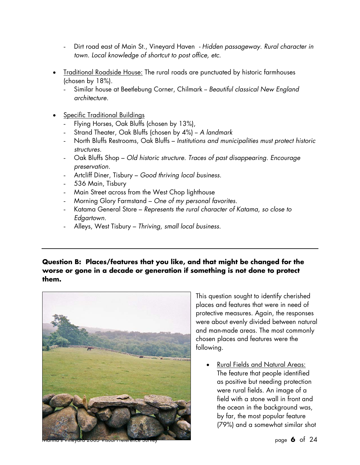- Dirt road east of Main St., Vineyard Haven *Hidden passageway. Rural character in town. Local knowledge of shortcut to post office, etc.*
- Traditional Roadside House: The rural roads are punctuated by historic farmhouses (chosen by 18%).
	- Similar house at Beetlebung Corner, Chilmark -- *Beautiful classical New England architecture.*
- Specific Traditional Buildings
	- Flying Horses, Oak Bluffs (chosen by 13%),
	- Strand Theater, Oak Bluffs (chosen by 4%) *A landmark*
	- North Bluffs Restrooms, Oak Bluffs *Institutions and municipalities must protect historic structures.*
	- Oak Bluffs Shop *Old historic structure. Traces of past disappearing. Encourage preservation.*
	- Artcliff Diner, Tisbury *Good thriving local business.*
	- 536 Main, Tisbury
	- Main Street across from the West Chop lighthouse
	- Morning Glory Farmstand *One of my personal favorites.*
	- Katama General Store *Represents the rural character of Katama, so close to Edgartown.*
	- Alleys, West Tisbury *Thriving, small local business.*

#### **Question B: Places/features that you like, and that might be changed for the worse or gone in a decade or generation if something is not done to protect them.**



This question sought to identify cherished places and features that were in need of protective measures. Again, the responses were about evenly divided between natural and man-made areas. The most commonly chosen places and features were the following.

• Rural Fields and Natural Areas: The feature that people identified as positive but needing protection were rural fields. An image of a field with a stone wall in front and the ocean in the background was, by far, the most popular feature (79%) and a somewhat similar shot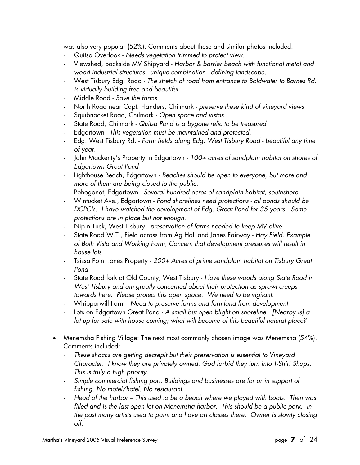was also very popular (52%). Comments about these and similar photos included:

- Quitsa Overlook *Needs vegetation trimmed to protect view*.
- Viewshed, backside MV Shipyard *Harbor & barrier beach with functional metal and wood industrial structures - unique combination - defining landscape*.
- West Tisbury Edg. Road *The stretch of road from entrance to Boldwater to Barnes Rd. is virtually building free and beautiful.*
- Middle Road *Save the farms*.
- North Road near Capt. Flanders, Chilmark *preserve these kind of vineyard views*
- Squibnocket Road, Chilmark *Open space and vistas*
- State Road, Chilmark *Quitsa Pond is a bygone relic to be treasured*
- Edgartown *This vegetation must be maintained and protected*.
- Edg. West Tisbury Rd. *Farm fields along Edg. West Tisbury Road beautiful any time of year.*
- John Mackenty's Property in Edgartown *100+ acres of sandplain habitat on shores of Edgartown Great Pond*
- Lighthouse Beach, Edgartown *Beaches should be open to everyone, but more and more of them are being closed to the public*.
- Pohogonot, Edgartown *Several hundred acres of sandplain habitat, southshore*
- Wintucket Ave., Edgartown *Pond shorelines need protections all ponds should be DCPC's. I have watched the development of Edg. Great Pond for 35 years. Some protections are in place but not enough*.
- Nip n Tuck, West Tisbury *preservation of farms needed to keep MV alive*
- State Road W.T., Field across from Ag Hall and Janes Fairway *Hay Field, Example of Both Vista and Working Farm, Concern that development pressures will result in house lots*
- Tsissa Point Jones Property *200+ Acres of prime sandplain habitat on Tisbury Great Pond*
- State Road fork at Old County, West Tisbury *I love these woods along State Road in West Tisbury and am greatly concerned about their protection as sprawl creeps towards here. Please protect this open space. We need to be vigilant*.
- Whipporwill Farm *Need to preserve farms and farmland from development*
- Lots on Edgartown Great Pond *A small but open blight on shoreline. [Nearby is] a lot up for sale with house coming; what will become of this beautiful natural place?*
- Menemsha Fishing Village: The next most commonly chosen image was Menemsha (54%). Comments included:
	- *These shacks are getting decrepit but their preservation is essential to Vineyard Character. I know they are privately owned. God forbid they turn into T-Shirt Shops. This is truly a high priority.*
	- *Simple commercial fishing port. Buildings and businesses are for or in support of fishing. No motel/hotel. No restaurant.*
	- *Head of the harbor This used to be a beach where we played with boats. Then was filled and is the last open lot on Menemsha harbor. This should be a public park. In the past many artists used to paint and have art classes there. Owner is slowly closing off.*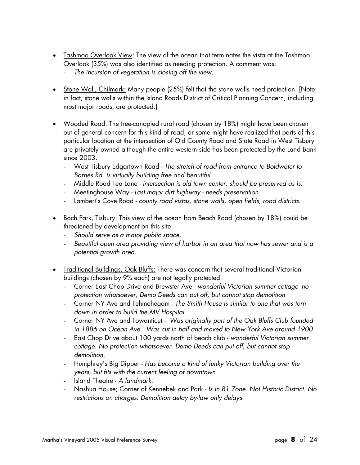- Tashmoo Overlook View: The view of the ocean that terminates the vista at the Tashmoo Overlook (35%) was also identified as needing protection. A comment was:
	- *The incursion of vegetation is closing off the view.*
- Stone Wall, Chilmark: Many people (25%) felt that the stone walls need protection. [Note: in fact, stone walls within the Island Roads District of Critical Planning Concern, including most major roads, are protected.]
- Wooded Road: The tree-canopied rural road (chosen by 18%) might have been chosen out of general concern for this kind of road, or some might have realized that parts of this particular location at the intersection of Old County Road and State Road in West Tisbury are privately owned although the entire western side has been protected by the Land Bank since 2003.
	- West Tisbury Edgartown Road *The stretch of road from entrance to Boldwater to Barnes Rd. is virtually building free and beautiful.*
	- Middle Road Tea Lane *Intersection is old town center; should be preserved as is.*
	- Meetinghouse Way *Last major dirt highway needs preservation*.
	- Lambert's Cove Road *county road vistas, stone walls, open fields, road districts*.
- <u>Boch Park, Tisbury: T</u>his view of the ocean from Beach Road (chosen by 18%) could be threatened by development on this site
	- *Should serve as a major public space.*
	- *Beautiful open area providing view of harbor in an area that now has sewer and is a potential growth area.*
- Traditional Buildings, Oak Bluffs: There was concern that several traditional Victorian buildings (chosen by 9% each) are not legally protected.
	- Corner East Chop Drive and Brewster Ave *wonderful Victorian summer cottage- no protection whatsoever, Demo Deeds can put off, but cannot stop demolition*
	- Corner NY Ave and Tehmehegam *The Smith House is similar to one that was torn down in order to build the MV Hospital.*
	- Corner NY Ave and Towanticut *Was originally part of the Oak Bluffs Club founded in 1886 on Ocean Ave. Was cut in half and moved to New York Ave around 1900*
	- East Chop Drive about 100 yards north of beach club *wonderful Victorian summer cottage. No protection whatsoever. Demo Deeds can put off, but cannot stop demolition.*
	- Humphrey's Big Dipper *Has become a kind of funky Victorian building over the years, but fits with the current feeling of downtown*
	- Island Theatre *A landmark.*
	- Nashua House; Corner of Kennebek and Park *Is in B1 Zone. Not Historic District. No restrictions on charges. Demolition delay by-law only delays.*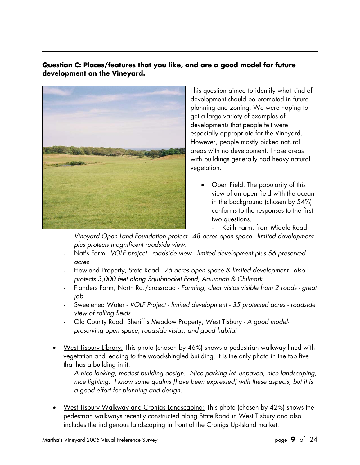#### **Question C: Places/features that you like, and are a good model for future development on the Vineyard.**



This question aimed to identify what kind of development should be promoted in future planning and zoning. We were hoping to get a large variety of examples of developments that people felt were especially appropriate for the Vineyard. However, people mostly picked natural areas with no development. Those areas with buildings generally had heavy natural vegetation.

- Open Field: The popularity of this view of an open field with the ocean in the background (chosen by 54%) conforms to the responses to the first two questions.
	- Keith Farm, from Middle Road –

*Vineyard Open Land Foundation project - 48 acres open space - limited development plus protects magnificent roadside view.*

- Nat's Farm *VOLF project roadside view limited development plus 56 preserved acres*
- Howland Property, State Road  *75 acres open space & limited development also protects 3,000 feet along Squibnocket Pond, Aquinnah & Chilmark*
- Flanders Farm, North Rd./crossroad *Farming, clear vistas visible from 2 roads great job.*
- Sweetened Water *VOLF Project limited development 35 protected acres roadside view of rolling fields*
- Old County Road. Sheriff's Meadow Property, West Tisbury *A good modelpreserving open space, roadside vistas, and good habitat*
- West Tisbury Library: This photo (chosen by 46%) shows a pedestrian walkway lined with vegetation and leading to the wood-shingled building. It is the only photo in the top five that has a building in it.
	- *A nice looking, modest building design. Nice parking lot- unpaved, nice landscaping, nice lighting. I know some qualms [have been expressed] with these aspects, but it is a good effort for planning and design.*
- West Tisbury Walkway and Cronigs Landscaping: This photo (chosen by 42%) shows the pedestrian walkways recently constructed along State Road in West Tisbury and also includes the indigenous landscaping in front of the Cronigs Up-Island market.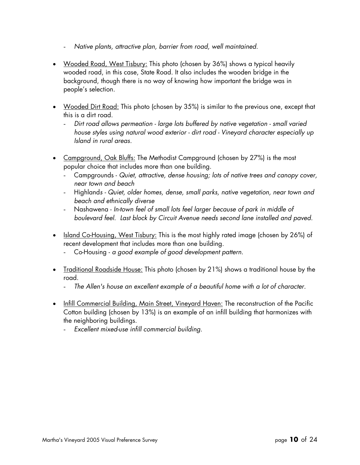- *Native plants, attractive plan, barrier from road, well maintained.*
- Wooded Road, West Tisbury: This photo (chosen by 36%) shows a typical heavily wooded road, in this case, State Road. It also includes the wooden bridge in the background, though there is no way of knowing how important the bridge was in people's selection.
- Wooded Dirt Road: This photo (chosen by 35%) is similar to the previous one, except that this is a dirt road.
	- *Dirt road allows permeation large lots buffered by native vegetation small varied house styles using natural wood exterior - dirt road - Vineyard character especially up Island in rural areas.*
- Campground, Oak Bluffs: The Methodist Campground (chosen by 27%) is the most popular choice that includes more than one building.
	- Campgrounds *Quiet, attractive, dense housing; lots of native trees and canopy cover, near town and beach*
	- Highland*s Quiet, older homes, dense, small parks, native vegetation, near town and beach and ethnically diverse*
	- Nashawena *In-town feel of small lots feel larger because of park in middle of boulevard feel. Last block by Circuit Avenue needs second lane installed and paved.*
- Island Co-Housing, West Tisbury: This is the most highly rated image (chosen by 26%) of recent development that includes more than one building.
	- Co-Housing *a good example of good development pattern.*
- Traditional Roadside House: This photo (chosen by 21%) shows a traditional house by the road.
	- *The Allen's house an excellent example of a beautiful home with a lot of character.*
- Infill Commercial Building, Main Street, Vineyard Haven: The reconstruction of the Pacific Cotton building (chosen by 13%) is an example of an infill building that harmonizes with the neighboring buildings.
	- *Excellent mixed-use infill commercial building.*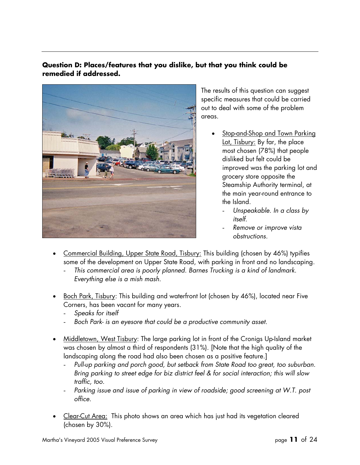#### **Question D: Places/features that you dislike, but that you think could be remedied if addressed.**



The results of this question can suggest specific measures that could be carried out to deal with some of the problem areas.

- Stop-and-Shop and Town Parking Lot, Tisbury: By far, the place most chosen (78%) that people disliked but felt could be improved was the parking lot and grocery store opposite the Steamship Authority terminal, at the main year-round entrance to the Island.
	- *Unspeakable. In a class by itself.*
	- *Remove or improve vista obstructions.*
- Commercial Building, Upper State Road, Tisbury: This building (chosen by 46%) typifies some of the development on Upper State Road, with parking in front and no landscaping.
	- *This commercial area is poorly planned. Barnes Trucking is a kind of landmark. Everything else is a mish mash.*
- Boch Park, Tisbury: This building and waterfront lot (chosen by 46%), located near Five Corners, has been vacant for many years.
	- *Speaks for itself*
	- *Boch Park- is an eyesore that could be a productive community asset.*
- Middletown, West Tisbury: The large parking lot in front of the Cronigs Up-Island market was chosen by almost a third of respondents (31%). [Note that the high quality of the landscaping along the road had also been chosen as a positive feature.]
	- *Pull-up parking and porch good, but setback from State Road too great, too suburban. Bring parking to street edge for biz district feel & for social interaction; this will slow traffic, too.*
	- Parking issue and issue of parking in view of roadside; good screening at W.T. post *office.*
- Clear-Cut Area: This photo shows an area which has just had its vegetation cleared (chosen by 30%).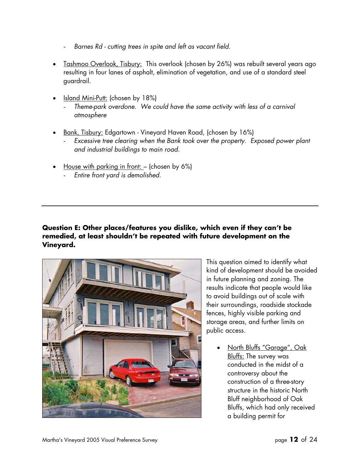- *Barnes Rd cutting trees in spite and left as vacant field.*
- Tashmoo Overlook, Tisbury: This overlook (chosen by 26%) was rebuilt several years ago resulting in four lanes of asphalt, elimination of vegetation, and use of a standard steel guardrail.
- Island Mini-Putt: (chosen by 18%)
	- *Theme-park overdone. We could have the same activity with less of a carnival atmosphere*
- Bank, Tisbury: Edgartown Vineyard Haven Road, (chosen by 16%)
	- *Excessive tree clearing when the Bank took over the property. Exposed power plant and industrial buildings to main road.*
- House with parking in front: (chosen by 6%)
	- *Entire front yard is demolished.*

#### **Question E: Other places/features you dislike, which even if they can't be remedied, at least shouldn't be repeated with future development on the Vineyard.**



This question aimed to identify what kind of development should be avoided in future planning and zoning. The results indicate that people would like to avoid buildings out of scale with their surroundings, roadside stockade fences, highly visible parking and storage areas, and further limits on public access.

• North Bluffs "Garage", Oak Bluffs: The survey was conducted in the midst of a controversy about the construction of a three-story structure in the historic North Bluff neighborhood of Oak Bluffs, which had only received a building permit for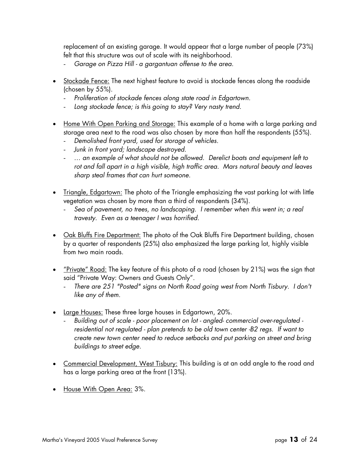replacement of an existing garage. It would appear that a large number of people (73%) felt that this structure was out of scale with its neighborhood.

- *Garage on Pizza Hill a gargantuan offense to the area.*
- Stockade Fence: The next highest feature to avoid is stockade fences along the roadside (chosen by 55%).
	- *Proliferation of stockade fences along state road in Edgartown.*
	- *Long stockade fence; is this going to stay? Very nasty trend.*
- Home With Open Parking and Storage: This example of a home with a large parking and storage area next to the road was also chosen by more than half the respondents (55%).
	- *Demolished front yard, used for storage of vehicles.*
	- *Junk in front yard; landscape destroyed.*
	- *… an example of what should not be allowed. Derelict boats and equipment left to rot and fall apart in a high visible, high traffic area. Mars natural beauty and leaves sharp steal frames that can hurt someone*.
- Triangle, Edgartown: The photo of the Triangle emphasizing the vast parking lot with little vegetation was chosen by more than a third of respondents (34%).
	- *Sea of pavement, no trees, no landscaping. I remember when this went in; a real travesty. Even as a teenager I was horrified.*
- Oak Bluffs Fire Department: The photo of the Oak Bluffs Fire Department building, chosen by a quarter of respondents (25%) also emphasized the large parking lot, highly visible from two main roads.
- "Private" Road: The key feature of this photo of a road (chosen by 21%) was the sign that said "Private Way: Owners and Guests Only".
	- There are 251 "Posted" signs on North Road going west from North Tisbury. I don't *like any of them.*
- Large Houses: These three large houses in Edgartown, 20%.
	- *Building out of scale poor placement on lot angled- commercial over-regulated residential not regulated - plan pretends to be old town center -B2 regs. If want to create new town center need to reduce setbacks and put parking on street and bring buildings to street edge.*
- Commercial Development, West Tisbury: This building is at an odd angle to the road and has a large parking area at the front (13%).
- House With Open Area: 3%.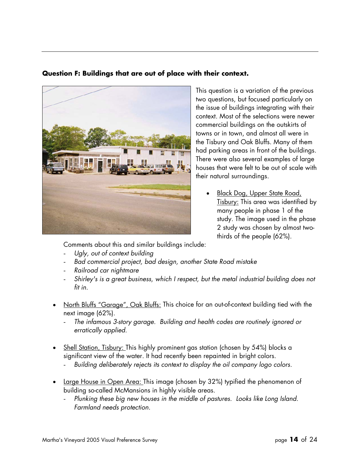#### **Question F: Buildings that are out of place with their context.**



This question is a variation of the previous two questions, but focused particularly on the issue of buildings integrating with their context. Most of the selections were newer commercial buildings on the outskirts of towns or in town, and almost all were in the Tisbury and Oak Bluffs. Many of them had parking areas in front of the buildings. There were also several examples of large houses that were felt to be out of scale with their natural surroundings.

• Black Dog, Upper State Road, Tisbury: This area was identified by many people in phase 1 of the study. The image used in the phase 2 study was chosen by almost twothirds of the people (62%).

Comments about this and similar buildings include:

- *Ugly, out of context building*
- *Bad commercial project, bad design, another State Road mistake*
- *Railroad car nightmare*
- *Shirley's is a great business, which I respect, but the metal industrial building does not fit in.*
- North Bluffs "Garage", Oak Bluffs: This choice for an out-of-context building tied with the next image (62%).
	- *The infamous 3-story garage. Building and health codes are routinely ignored or erratically applied.*
- Shell Station, Tisbury: This highly prominent gas station (chosen by 54%) blocks a significant view of the water. It had recently been repainted in bright colors.
	- *Building deliberately rejects its context to display the oil company logo colors.*
- Large House in Open Area: This image (chosen by 32%) typified the phenomenon of building so-called McMansions in highly visible areas.
	- *Plunking these big new houses in the middle of pastures. Looks like Long Island. Farmland needs protection.*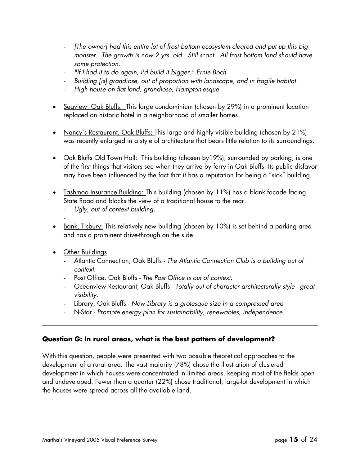- *[The owner] had this entire lot of frost bottom ecosystem cleared and put up this big monster. The growth is now 2 yrs. old. Still scant. All frost bottom land should have some protection.*
- *"If I had it to do again, I'd build it bigger." Ernie Boch*
- *Building [is] grandiose, out of proportion with landscape, and in fragile habitat*
- *High house on flat land, grandiose, Hampton-esque*
- Seaview, Oak Bluffs: This large condominium (chosen by 29%) in a prominent location replaced an historic hotel in a neighborhood of smaller homes.
- Nancy's Restaurant, Oak Bluffs: This large and highly visible building (chosen by 21%) was recently enlarged in a style of architecture that bears little relation to its surroundings.
- Oak Bluffs Old Town Hall: This building (chosen by 19%), surrounded by parking, is one of the first things that visitors see when they arrive by ferry in Oak Bluffs. Its public disfavor may have been influenced by the fact that it has a reputation for being a "sick" building.
- Tashmoo Insurance Building: This building (chosen by 11%) has a blank façade facing State Road and blocks the view of a traditional house to the rear.
	- *Ugly, out of context building.*
- Bank, Tisbury: This relatively new building (chosen by 10%) is set behind a parking area and has a prominent drive-through on the side.
- Other Buildings

-

- Atlantic Connection, Oak Bluffs *The Atlantic Connection Club is a building out of context*.
- Post Office, Oak Bluffs *The Post Office is out of context.*
- Oceanview Restaurant, Oak Bluffs *Totally out of character architecturally style great visibility.*
- Library, Oak Bluffs *New Library is a grotesque size in a compressed area*
- N-Star *Promote energy plan for sustainability, renewables, independence.*

#### **Question G: In rural areas, what is the best pattern of development?**

With this question, people were presented with two possible theoretical approaches to the development of a rural area. The vast majority (78%) chose the illustration of clustered development in which houses were concentrated in limited areas, keeping most of the fields open and undeveloped. Fewer than a quarter (22%) chose traditional, large-lot development in which the houses were spread across all the available land.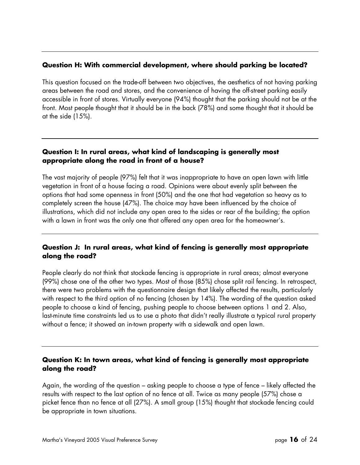#### **Question H: With commercial development, where should parking be located?**

This question focused on the trade-off between two objectives, the aesthetics of not having parking areas between the road and stores, and the convenience of having the off-street parking easily accessible in front of stores. Virtually everyone (94%) thought that the parking should not be at the front. Most people thought that it should be in the back (78%) and some thought that it should be at the side (15%).

#### **Question I: In rural areas, what kind of landscaping is generally most appropriate along the road in front of a house?**

The vast majority of people (97%) felt that it was inappropriate to have an open lawn with little vegetation in front of a house facing a road. Opinions were about evenly split between the options that had some openness in front (50%) and the one that had vegetation so heavy as to completely screen the house (47%). The choice may have been influenced by the choice of illustrations, which did not include any open area to the sides or rear of the building; the option with a lawn in front was the only one that offered any open area for the homeowner's.

#### **Question J: In rural areas, what kind of fencing is generally most appropriate along the road?**

People clearly do not think that stockade fencing is appropriate in rural areas; almost everyone (99%) chose one of the other two types. Most of those (85%) chose split rail fencing. In retrospect, there were two problems with the questionnaire design that likely affected the results, particularly with respect to the third option of no fencing (chosen by 14%). The wording of the question asked people to choose a kind of fencing, pushing people to choose between options 1 and 2. Also, last-minute time constraints led us to use a photo that didn't really illustrate a typical rural property without a fence; it showed an in-town property with a sidewalk and open lawn.

#### **Question K: In town areas, what kind of fencing is generally most appropriate along the road?**

Again, the wording of the question – asking people to choose a type of fence – likely affected the results with respect to the last option of no fence at all. Twice as many people (57%) chose a picket fence than no fence at all (27%). A small group (15%) thought that stockade fencing could be appropriate in town situations.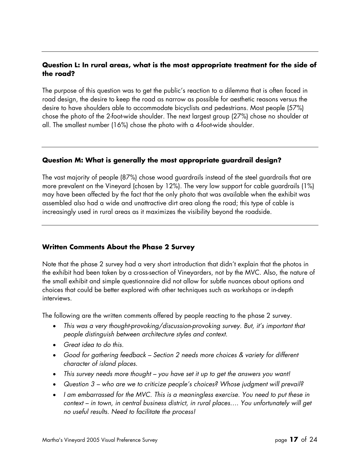#### **Question L: In rural areas, what is the most appropriate treatment for the side of the road?**

The purpose of this question was to get the public's reaction to a dilemma that is often faced in road design, the desire to keep the road as narrow as possible for aesthetic reasons versus the desire to have shoulders able to accommodate bicyclists and pedestrians. Most people (57%) chose the photo of the 2-foot-wide shoulder. The next largest group (27%) chose no shoulder at all. The smallest number (16%) chose the photo with a 4-foot-wide shoulder.

#### **Question M: What is generally the most appropriate guardrail design?**

The vast majority of people (87%) chose wood guardrails instead of the steel guardrails that are more prevalent on the Vineyard (chosen by 12%). The very low support for cable guardrails (1%) may have been affected by the fact that the only photo that was available when the exhibit was assembled also had a wide and unattractive dirt area along the road; this type of cable is increasingly used in rural areas as it maximizes the visibility beyond the roadside.

#### **Written Comments About the Phase 2 Survey**

Note that the phase 2 survey had a very short introduction that didn't explain that the photos in the exhibit had been taken by a cross-section of Vineyarders, not by the MVC. Also, the nature of the small exhibit and simple questionnaire did not allow for subtle nuances about options and choices that could be better explored with other techniques such as workshops or in-depth interviews.

The following are the written comments offered by people reacting to the phase 2 survey.

- *This was a very thought-provoking/discussion-provoking survey. But, it's important that people distinguish between architecture styles and context.*
- *Great idea to do this.*
- *Good for gathering feedback Section 2 needs more choices & variety for different character of island places.*
- *This survey needs more thought you have set it up to get the answers you want!*
- *Question 3 who are we to criticize people's choices? Whose judgment will prevail?*
- *I am embarrassed for the MVC. This is a meaningless exercise. You need to put these in context – in town, in central business district, in rural places…. You unfortunately will get no useful results. Need to facilitate the process!*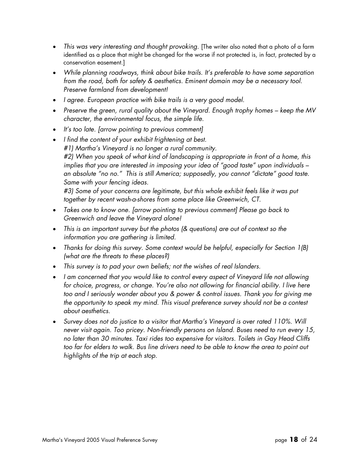- This was very interesting and thought provoking. [The writer also noted that a photo of a farm identified as a place that might be changed for the worse if not protected is, in fact, protected by a conservation easement.]
- *While planning roadways, think about bike trails. It's preferable to have some separation from the road, both for safety & aesthetics. Eminent domain may be a necessary tool. Preserve farmland from development!*
- *I agree. European practice with bike trails is a very good model.*
- *Preserve the green, rural quality about the Vineyard. Enough trophy homes keep the MV character, the environmental focus, the simple life.*
- *It's too late. [arrow pointing to previous comment]*
- *I find the content of your exhibit frightening at best. #1) Martha's Vineyard is no longer a rural community. #2) When you speak of what kind of landscaping is appropriate in front of a home, this implies that you are interested in imposing your idea of "good taste" upon individuals – an absolute "no no." This is still America; supposedly, you cannot "dictate" good taste. Same with your fencing ideas. #3) Some of your concerns are legitimate, but this whole exhibit feels like it was put together by recent wash-a-shores from some place like Greenwich, CT.*
- *Takes one to know one. [arrow pointing to previous comment] Please go back to Greenwich and leave the Vineyard alone!*
- *This is an important survey but the photos (& questions) are out of context so the information you are gathering is limited.*
- *Thanks for doing this survey. Some context would be helpful, especially for Section 1(B) (what are the threats to these places?)*
- *This survey is to pad your own beliefs; not the wishes of real Islanders.*
- *I am concerned that you would like to control every aspect of Vineyard life not allowing for choice, progress, or change. You're also not allowing for financial ability. I live here too and I seriously wonder about you & power & control issues. Thank you for giving me the opportunity to speak my mind. This visual preference survey should not be a contest about aesthetics.*
- *Survey does not do justice to a visitor that Martha's Vineyard is over rated 110%. Will never visit again. Too pricey. Non-friendly persons on Island. Buses need to run every 15, no later than 30 minutes. Taxi rides too expensive for visitors. Toilets in Gay Head Cliffs too far for elders to walk. Bus line drivers need to be able to know the area to point out highlights of the trip at each stop.*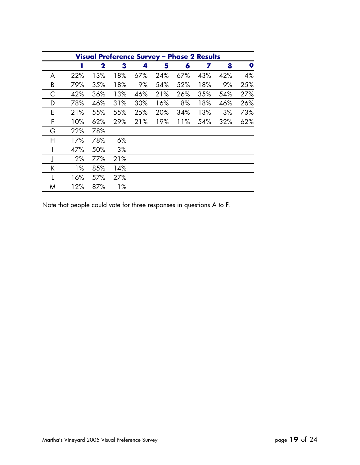| Visual Preference Survey - Phase 2 Results |       |             |       |     |     |     |     |     |     |
|--------------------------------------------|-------|-------------|-------|-----|-----|-----|-----|-----|-----|
|                                            | 1     | $\mathbf 2$ | 3     | 4   | 5   | 6   | 7   | 8   | 9   |
| A                                          | 22%   | 13%         | 18%   | 67% | 24% | 67% | 43% | 42% | 4%  |
| B                                          | 79%   | 35%         | 18%   | 9%  | 54% | 52% | 18% | 9%  | 25% |
| С                                          | 42%   | 36%         | 13%   | 46% | 21% | 26% | 35% | 54% | 27% |
| D                                          | 78%   | 46%         | 31%   | 30% | 16% | 8%  | 18% | 46% | 26% |
| E                                          | 21%   | 55%         | 55%   | 25% | 20% | 34% | 13% | 3%  | 73% |
| F                                          | 10%   | 62%         | 29%   | 21% | 19% | 11% | 54% | 32% | 62% |
| G                                          | 22%   | 78%         |       |     |     |     |     |     |     |
| Η                                          | 17%   | 78%         | 6%    |     |     |     |     |     |     |
|                                            | 47%   | 50%         | 3%    |     |     |     |     |     |     |
|                                            | 2%    | 77%         | 21%   |     |     |     |     |     |     |
| K                                          | $1\%$ | 85%         | 14%   |     |     |     |     |     |     |
|                                            | 16%   | 57%         | 27%   |     |     |     |     |     |     |
| M                                          | 12%   | 87%         | $1\%$ |     |     |     |     |     |     |

Note that people could vote for three responses in questions A to F.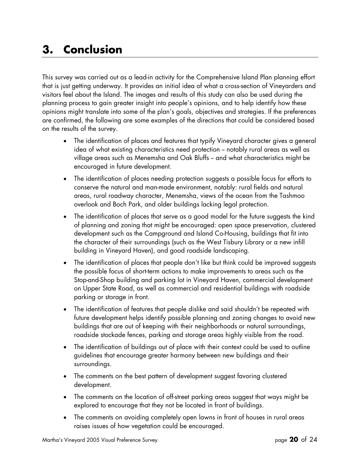### **3. Conclusion**

This survey was carried out as a lead-in activity for the Comprehensive Island Plan planning effort that is just getting underway. It provides an initial idea of what a cross-section of Vineyarders and visitors feel about the Island. The images and results of this study can also be used during the planning process to gain greater insight into people's opinions, and to help identify how these opinions might translate into some of the plan's goals, objectives and strategies. If the preferences are confirmed, the following are some examples of the directions that could be considered based on the results of the survey.

- The identification of places and features that typify Vineyard character gives a general idea of what existing characteristics need protection - notably rural areas as well as village areas such as Menemsha and Oak Bluffs -- and what characteristics might be encouraged in future development.
- The identification of places needing protection suggests a possible focus for efforts to conserve the natural and man-made environment, notably: rural fields and natural areas, rural roadway character, Menemsha, views of the ocean from the Tashmoo overlook and Boch Park, and older buildings lacking legal protection.
- The identification of places that serve as a good model for the future suggests the kind of planning and zoning that might be encouraged: open space preservation, clustered development such as the Campground and Island Co-Housing, buildings that fit into the character of their surroundings (such as the West Tisbury Library or a new infill building in Vineyard Haven), and good roadside landscaping.
- The identification of places that people don't like but think could be improved suggests the possible focus of short-term actions to make improvements to areas such as the Stop-and-Shop building and parking lot in Vineyard Haven, commercial development on Upper State Road, as well as commercial and residential buildings with roadside parking or storage in front.
- The identification of features that people dislike and said shouldn't be repeated with future development helps identify possible planning and zoning changes to avoid new buildings that are out of keeping with their neighborhoods or natural surroundings, roadside stockade fences, parking and storage areas highly visible from the road.
- The identification of buildings out of place with their context could be used to outline guidelines that encourage greater harmony between new buildings and their surroundings.
- The comments on the best pattern of development suggest favoring clustered development.
- The comments on the location of off-street parking areas suggest that ways might be explored to encourage that they not be located in front of buildings.
- The comments on avoiding completely open lawns in front of houses in rural areas raises issues of how vegetation could be encouraged.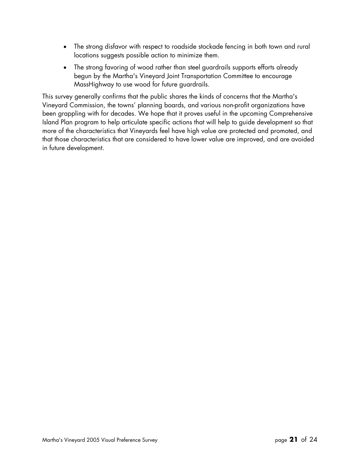- The strong disfavor with respect to roadside stockade fencing in both town and rural locations suggests possible action to minimize them.
- The strong favoring of wood rather than steel guardrails supports efforts already begun by the Martha's Vineyard Joint Transportation Committee to encourage MassHighway to use wood for future guardrails.

This survey generally confirms that the public shares the kinds of concerns that the Martha's Vineyard Commission, the towns' planning boards, and various non-profit organizations have been grappling with for decades. We hope that it proves useful in the upcoming Comprehensive Island Plan program to help articulate specific actions that will help to guide development so that more of the characteristics that Vineyards feel have high value are protected and promoted, and that those characteristics that are considered to have lower value are improved, and are avoided in future development.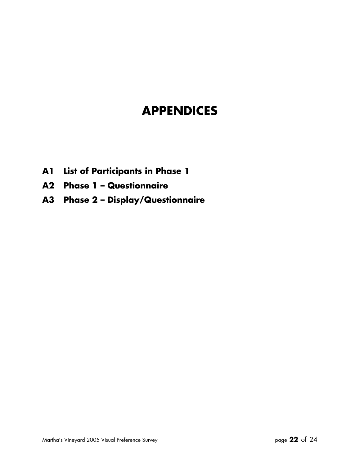# **APPENDICES**

- **A1 List of Participants in Phase 1**
- **A2 Phase 1 Questionnaire**
- **A3 Phase 2 Display/Questionnaire**